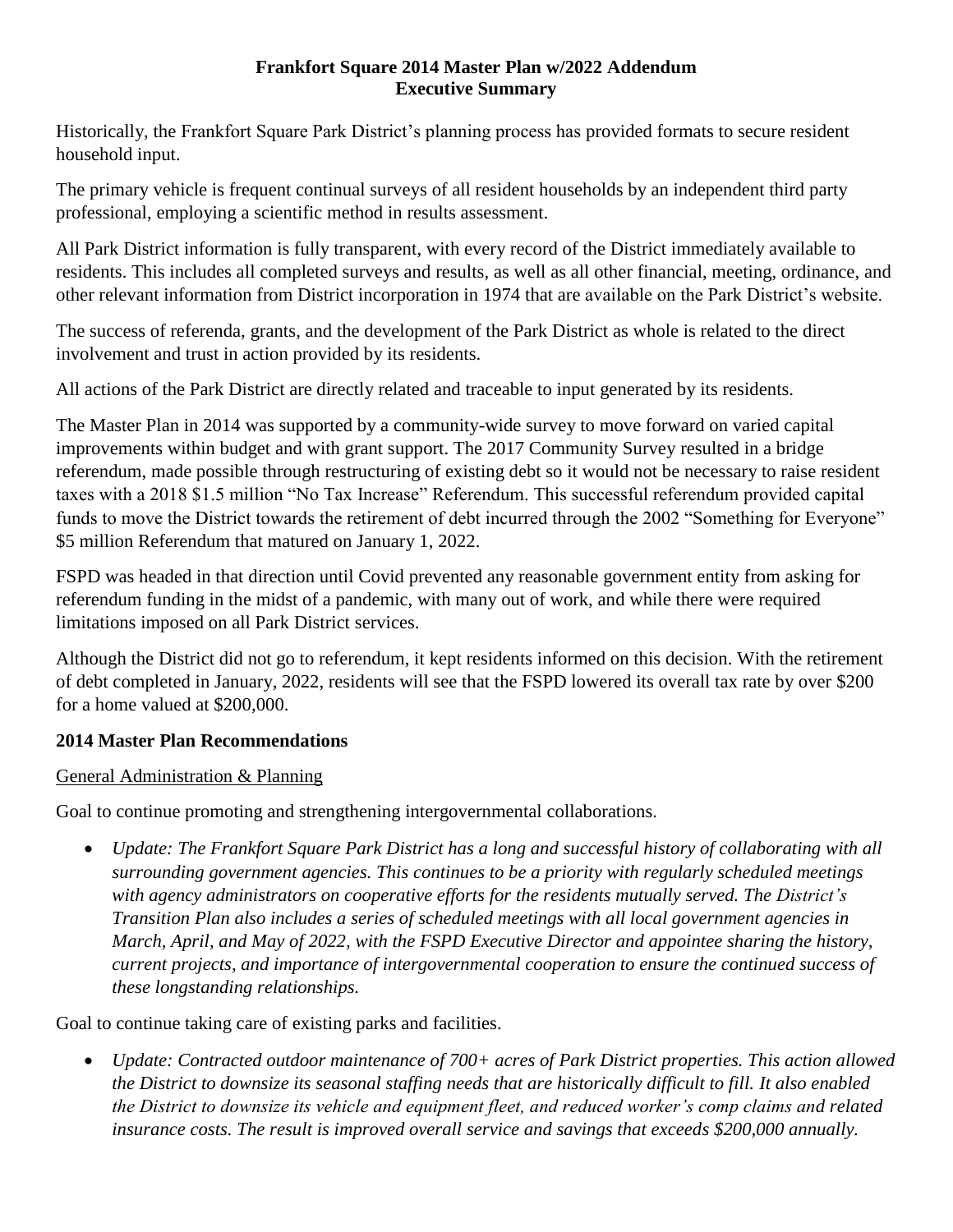## **Frankfort Square 2014 Master Plan w/2022 Addendum Executive Summary**

Historically, the Frankfort Square Park District's planning process has provided formats to secure resident household input.

The primary vehicle is frequent continual surveys of all resident households by an independent third party professional, employing a scientific method in results assessment.

All Park District information is fully transparent, with every record of the District immediately available to residents. This includes all completed surveys and results, as well as all other financial, meeting, ordinance, and other relevant information from District incorporation in 1974 that are available on the Park District's website.

The success of referenda, grants, and the development of the Park District as whole is related to the direct involvement and trust in action provided by its residents.

All actions of the Park District are directly related and traceable to input generated by its residents.

The Master Plan in 2014 was supported by a community-wide survey to move forward on varied capital improvements within budget and with grant support. The 2017 Community Survey resulted in a bridge referendum, made possible through restructuring of existing debt so it would not be necessary to raise resident taxes with a 2018 \$1.5 million "No Tax Increase" Referendum. This successful referendum provided capital funds to move the District towards the retirement of debt incurred through the 2002 "Something for Everyone" \$5 million Referendum that matured on January 1, 2022.

FSPD was headed in that direction until Covid prevented any reasonable government entity from asking for referendum funding in the midst of a pandemic, with many out of work, and while there were required limitations imposed on all Park District services.

Although the District did not go to referendum, it kept residents informed on this decision. With the retirement of debt completed in January, 2022, residents will see that the FSPD lowered its overall tax rate by over \$200 for a home valued at \$200,000.

## **2014 Master Plan Recommendations**

## General Administration & Planning

Goal to continue promoting and strengthening intergovernmental collaborations.

 *Update: The Frankfort Square Park District has a long and successful history of collaborating with all surrounding government agencies. This continues to be a priority with regularly scheduled meetings with agency administrators on cooperative efforts for the residents mutually served. The District's Transition Plan also includes a series of scheduled meetings with all local government agencies in March, April, and May of 2022, with the FSPD Executive Director and appointee sharing the history, current projects, and importance of intergovernmental cooperation to ensure the continued success of these longstanding relationships.*

Goal to continue taking care of existing parks and facilities.

 *Update: Contracted outdoor maintenance of 700+ acres of Park District properties. This action allowed the District to downsize its seasonal staffing needs that are historically difficult to fill. It also enabled the District to downsize its vehicle and equipment fleet, and reduced worker's comp claims and related insurance costs. The result is improved overall service and savings that exceeds \$200,000 annually.*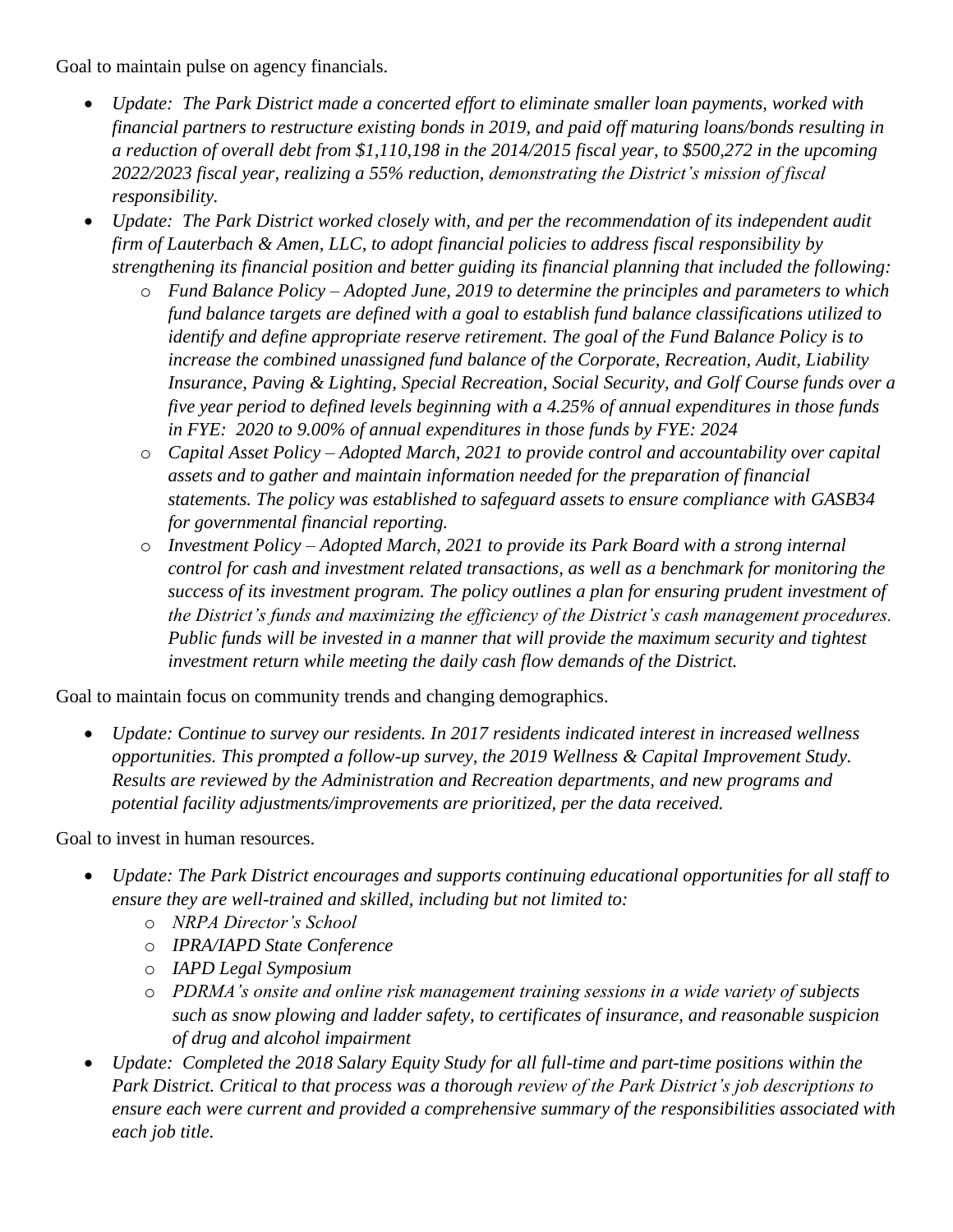Goal to maintain pulse on agency financials.

- *Update: The Park District made a concerted effort to eliminate smaller loan payments, worked with financial partners to restructure existing bonds in 2019, and paid off maturing loans/bonds resulting in a reduction of overall debt from \$1,110,198 in the 2014/2015 fiscal year, to \$500,272 in the upcoming 2022/2023 fiscal year, realizing a 55% reduction, demonstrating the District's mission of fiscal responsibility.*
- *Update: The Park District worked closely with, and per the recommendation of its independent audit firm of Lauterbach & Amen, LLC, to adopt financial policies to address fiscal responsibility by strengthening its financial position and better guiding its financial planning that included the following:*
	- o *Fund Balance Policy – Adopted June, 2019 to determine the principles and parameters to which fund balance targets are defined with a goal to establish fund balance classifications utilized to identify and define appropriate reserve retirement. The goal of the Fund Balance Policy is to increase the combined unassigned fund balance of the Corporate, Recreation, Audit, Liability Insurance, Paving & Lighting, Special Recreation, Social Security, and Golf Course funds over a five year period to defined levels beginning with a 4.25% of annual expenditures in those funds in FYE: 2020 to 9.00% of annual expenditures in those funds by FYE: 2024*
	- o *Capital Asset Policy – Adopted March, 2021 to provide control and accountability over capital assets and to gather and maintain information needed for the preparation of financial statements. The policy was established to safeguard assets to ensure compliance with GASB34 for governmental financial reporting.*
	- o *Investment Policy – Adopted March, 2021 to provide its Park Board with a strong internal control for cash and investment related transactions, as well as a benchmark for monitoring the success of its investment program. The policy outlines a plan for ensuring prudent investment of the District's funds and maximizing the efficiency of the District's cash management procedures. Public funds will be invested in a manner that will provide the maximum security and tightest investment return while meeting the daily cash flow demands of the District.*

Goal to maintain focus on community trends and changing demographics.

 *Update: Continue to survey our residents. In 2017 residents indicated interest in increased wellness opportunities. This prompted a follow-up survey, the 2019 Wellness & Capital Improvement Study. Results are reviewed by the Administration and Recreation departments, and new programs and potential facility adjustments/improvements are prioritized, per the data received.*

Goal to invest in human resources.

- *Update: The Park District encourages and supports continuing educational opportunities for all staff to ensure they are well-trained and skilled, including but not limited to:*
	- o *NRPA Director's School*
	- o *IPRA/IAPD State Conference*
	- o *IAPD Legal Symposium*
	- o *PDRMA's onsite and online risk management training sessions in a wide variety of subjects such as snow plowing and ladder safety, to certificates of insurance, and reasonable suspicion of drug and alcohol impairment*
- *Update: Completed the 2018 Salary Equity Study for all full-time and part-time positions within the Park District. Critical to that process was a thorough review of the Park District's job descriptions to ensure each were current and provided a comprehensive summary of the responsibilities associated with each job title.*